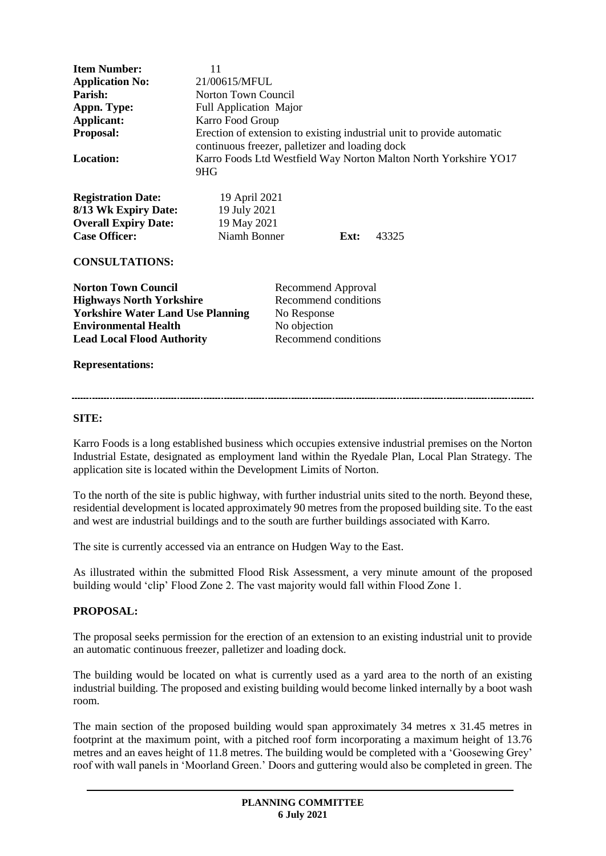| <b>Item Number:</b>                                                                                                                                                           | 11                                                                                                                        |                                                                                                          |  |  |
|-------------------------------------------------------------------------------------------------------------------------------------------------------------------------------|---------------------------------------------------------------------------------------------------------------------------|----------------------------------------------------------------------------------------------------------|--|--|
| <b>Application No:</b>                                                                                                                                                        | 21/00615/MFUL                                                                                                             |                                                                                                          |  |  |
| Parish:                                                                                                                                                                       | Norton Town Council                                                                                                       |                                                                                                          |  |  |
| Appn. Type:                                                                                                                                                                   | <b>Full Application Major</b>                                                                                             |                                                                                                          |  |  |
| Applicant:                                                                                                                                                                    | Karro Food Group                                                                                                          |                                                                                                          |  |  |
| <b>Proposal:</b>                                                                                                                                                              | Erection of extension to existing industrial unit to provide automatic<br>continuous freezer, palletizer and loading dock |                                                                                                          |  |  |
| <b>Location:</b>                                                                                                                                                              | Karro Foods Ltd Westfield Way Norton Malton North Yorkshire YO17<br>9HG                                                   |                                                                                                          |  |  |
| <b>Registration Date:</b><br>8/13 Wk Expiry Date:<br><b>Overall Expiry Date:</b><br><b>Case Officer:</b>                                                                      | 19 April 2021<br>19 July 2021<br>19 May 2021<br>Niamh Bonner<br>Ext:<br>43325                                             |                                                                                                          |  |  |
| <b>CONSULTATIONS:</b>                                                                                                                                                         |                                                                                                                           |                                                                                                          |  |  |
| <b>Norton Town Council</b><br><b>Highways North Yorkshire</b><br><b>Yorkshire Water Land Use Planning</b><br><b>Environmental Health</b><br><b>Lead Local Flood Authority</b> |                                                                                                                           | <b>Recommend Approval</b><br>Recommend conditions<br>No Response<br>No objection<br>Recommend conditions |  |  |

#### **Representations:**

#### **SITE:**

Karro Foods is a long established business which occupies extensive industrial premises on the Norton Industrial Estate, designated as employment land within the Ryedale Plan, Local Plan Strategy. The application site is located within the Development Limits of Norton.

To the north of the site is public highway, with further industrial units sited to the north. Beyond these, residential development is located approximately 90 metres from the proposed building site. To the east and west are industrial buildings and to the south are further buildings associated with Karro.

The site is currently accessed via an entrance on Hudgen Way to the East.

As illustrated within the submitted Flood Risk Assessment, a very minute amount of the proposed building would 'clip' Flood Zone 2. The vast majority would fall within Flood Zone 1.

#### **PROPOSAL:**

The proposal seeks permission for the erection of an extension to an existing industrial unit to provide an automatic continuous freezer, palletizer and loading dock.

The building would be located on what is currently used as a yard area to the north of an existing industrial building. The proposed and existing building would become linked internally by a boot wash room.

The main section of the proposed building would span approximately 34 metres x 31.45 metres in footprint at the maximum point, with a pitched roof form incorporating a maximum height of 13.76 metres and an eaves height of 11.8 metres. The building would be completed with a 'Goosewing Grey' roof with wall panels in 'Moorland Green.' Doors and guttering would also be completed in green. The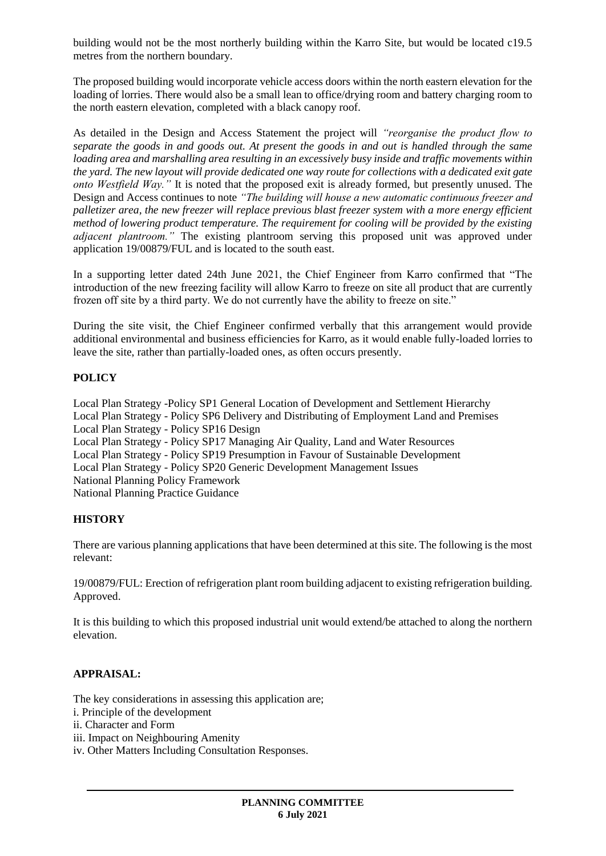building would not be the most northerly building within the Karro Site, but would be located c19.5 metres from the northern boundary.

The proposed building would incorporate vehicle access doors within the north eastern elevation for the loading of lorries. There would also be a small lean to office/drying room and battery charging room to the north eastern elevation, completed with a black canopy roof.

As detailed in the Design and Access Statement the project will *"reorganise the product flow to separate the goods in and goods out. At present the goods in and out is handled through the same loading area and marshalling area resulting in an excessively busy inside and traffic movements within the yard. The new layout will provide dedicated one way route for collections with a dedicated exit gate onto Westfield Way."* It is noted that the proposed exit is already formed, but presently unused. The Design and Access continues to note *"The building will house a new automatic continuous freezer and palletizer area, the new freezer will replace previous blast freezer system with a more energy efficient method of lowering product temperature. The requirement for cooling will be provided by the existing adjacent plantroom."* The existing plantroom serving this proposed unit was approved under application 19/00879/FUL and is located to the south east.

In a supporting letter dated 24th June 2021, the Chief Engineer from Karro confirmed that "The introduction of the new freezing facility will allow Karro to freeze on site all product that are currently frozen off site by a third party. We do not currently have the ability to freeze on site."

During the site visit, the Chief Engineer confirmed verbally that this arrangement would provide additional environmental and business efficiencies for Karro, as it would enable fully-loaded lorries to leave the site, rather than partially-loaded ones, as often occurs presently.

### **POLICY**

Local Plan Strategy -Policy SP1 General Location of Development and Settlement Hierarchy Local Plan Strategy - Policy SP6 Delivery and Distributing of Employment Land and Premises Local Plan Strategy - Policy SP16 Design Local Plan Strategy - Policy SP17 Managing Air Quality, Land and Water Resources Local Plan Strategy - Policy SP19 Presumption in Favour of Sustainable Development Local Plan Strategy - Policy SP20 Generic Development Management Issues National Planning Policy Framework National Planning Practice Guidance

#### **HISTORY**

There are various planning applications that have been determined at this site. The following is the most relevant:

19/00879/FUL: Erection of refrigeration plant room building adjacent to existing refrigeration building. Approved.

It is this building to which this proposed industrial unit would extend/be attached to along the northern elevation.

#### **APPRAISAL:**

The key considerations in assessing this application are;

- i. Principle of the development
- ii. Character and Form
- iii. Impact on Neighbouring Amenity
- iv. Other Matters Including Consultation Responses.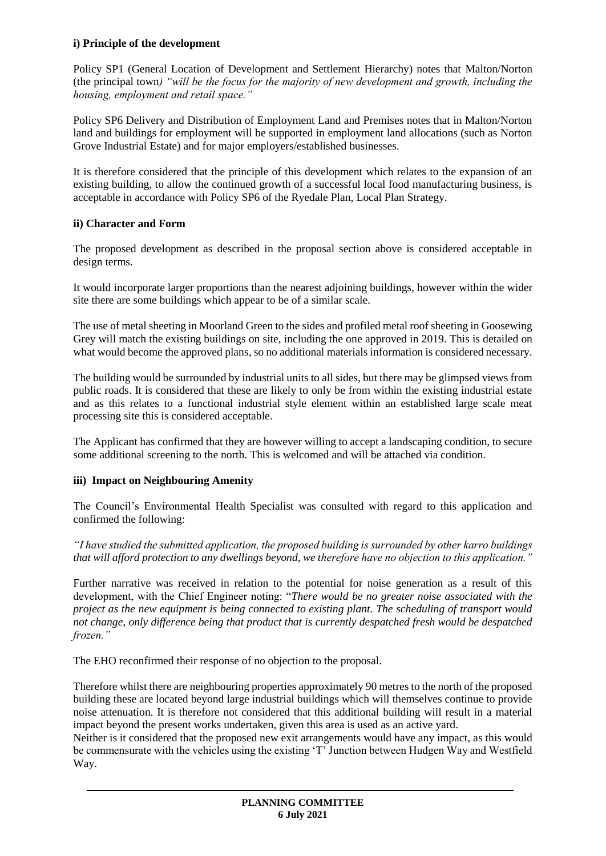### **i) Principle of the development**

Policy SP1 (General Location of Development and Settlement Hierarchy) notes that Malton/Norton (the principal town*) "will be the focus for the majority of new development and growth, including the housing, employment and retail space."*

Policy SP6 Delivery and Distribution of Employment Land and Premises notes that in Malton/Norton land and buildings for employment will be supported in employment land allocations (such as Norton Grove Industrial Estate) and for major employers/established businesses.

It is therefore considered that the principle of this development which relates to the expansion of an existing building, to allow the continued growth of a successful local food manufacturing business, is acceptable in accordance with Policy SP6 of the Ryedale Plan, Local Plan Strategy.

# **ii) Character and Form**

The proposed development as described in the proposal section above is considered acceptable in design terms.

It would incorporate larger proportions than the nearest adjoining buildings, however within the wider site there are some buildings which appear to be of a similar scale.

The use of metal sheeting in Moorland Green to the sides and profiled metal roof sheeting in Goosewing Grey will match the existing buildings on site, including the one approved in 2019. This is detailed on what would become the approved plans, so no additional materials information is considered necessary.

The building would be surrounded by industrial units to all sides, but there may be glimpsed views from public roads. It is considered that these are likely to only be from within the existing industrial estate and as this relates to a functional industrial style element within an established large scale meat processing site this is considered acceptable.

The Applicant has confirmed that they are however willing to accept a landscaping condition, to secure some additional screening to the north. This is welcomed and will be attached via condition.

### **iii) Impact on Neighbouring Amenity**

The Council's Environmental Health Specialist was consulted with regard to this application and confirmed the following:

*"I have studied the submitted application, the proposed building is surrounded by other karro buildings that will afford protection to any dwellings beyond, we therefore have no objection to this application."* 

Further narrative was received in relation to the potential for noise generation as a result of this development, with the Chief Engineer noting: "*There would be no greater noise associated with the project as the new equipment is being connected to existing plant. The scheduling of transport would not change, only difference being that product that is currently despatched fresh would be despatched frozen."*

The EHO reconfirmed their response of no objection to the proposal.

Therefore whilst there are neighbouring properties approximately 90 metres to the north of the proposed building these are located beyond large industrial buildings which will themselves continue to provide noise attenuation. It is therefore not considered that this additional building will result in a material impact beyond the present works undertaken, given this area is used as an active yard.

Neither is it considered that the proposed new exit arrangements would have any impact, as this would be commensurate with the vehicles using the existing 'T' Junction between Hudgen Way and Westfield Way.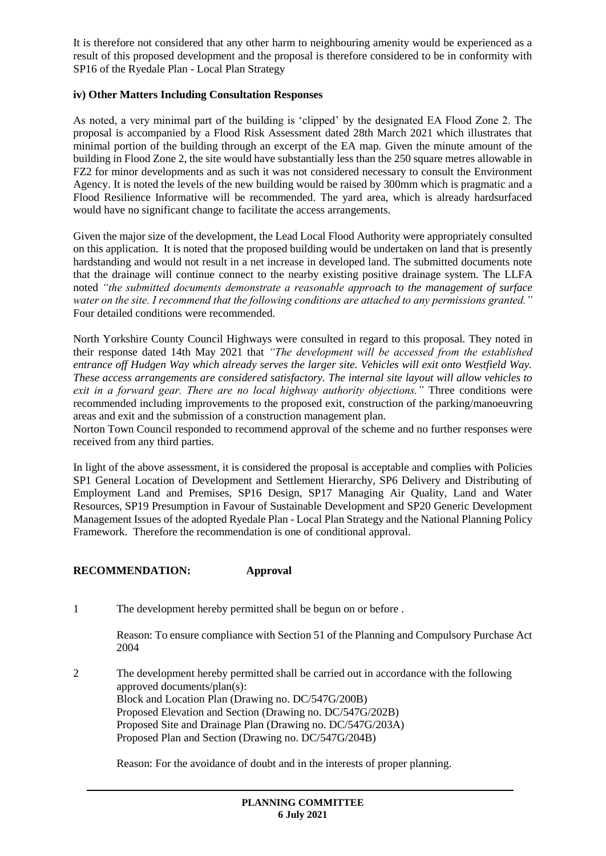It is therefore not considered that any other harm to neighbouring amenity would be experienced as a result of this proposed development and the proposal is therefore considered to be in conformity with SP16 of the Ryedale Plan - Local Plan Strategy

### **iv) Other Matters Including Consultation Responses**

As noted, a very minimal part of the building is 'clipped' by the designated EA Flood Zone 2. The proposal is accompanied by a Flood Risk Assessment dated 28th March 2021 which illustrates that minimal portion of the building through an excerpt of the EA map. Given the minute amount of the building in Flood Zone 2, the site would have substantially less than the 250 square metres allowable in FZ2 for minor developments and as such it was not considered necessary to consult the Environment Agency. It is noted the levels of the new building would be raised by 300mm which is pragmatic and a Flood Resilience Informative will be recommended. The yard area, which is already hardsurfaced would have no significant change to facilitate the access arrangements.

Given the major size of the development, the Lead Local Flood Authority were appropriately consulted on this application. It is noted that the proposed building would be undertaken on land that is presently hardstanding and would not result in a net increase in developed land. The submitted documents note that the drainage will continue connect to the nearby existing positive drainage system. The LLFA noted *"the submitted documents demonstrate a reasonable approach to the management of surface water on the site. I recommend that the following conditions are attached to any permissions granted."* Four detailed conditions were recommended.

North Yorkshire County Council Highways were consulted in regard to this proposal. They noted in their response dated 14th May 2021 that *"The development will be accessed from the established entrance off Hudgen Way which already serves the larger site. Vehicles will exit onto Westfield Way. These access arrangements are considered satisfactory. The internal site layout will allow vehicles to exit in a forward gear. There are no local highway authority objections."* Three conditions were recommended including improvements to the proposed exit, construction of the parking/manoeuvring areas and exit and the submission of a construction management plan.

Norton Town Council responded to recommend approval of the scheme and no further responses were received from any third parties.

In light of the above assessment, it is considered the proposal is acceptable and complies with Policies SP1 General Location of Development and Settlement Hierarchy, SP6 Delivery and Distributing of Employment Land and Premises, SP16 Design, SP17 Managing Air Quality, Land and Water Resources, SP19 Presumption in Favour of Sustainable Development and SP20 Generic Development Management Issues of the adopted Ryedale Plan - Local Plan Strategy and the National Planning Policy Framework. Therefore the recommendation is one of conditional approval.

### **RECOMMENDATION: Approval**

1 The development hereby permitted shall be begun on or before .

Reason: To ensure compliance with Section 51 of the Planning and Compulsory Purchase Act 2004

2 The development hereby permitted shall be carried out in accordance with the following approved documents/plan(s): Block and Location Plan (Drawing no. DC/547G/200B) Proposed Elevation and Section (Drawing no. DC/547G/202B) Proposed Site and Drainage Plan (Drawing no. DC/547G/203A) Proposed Plan and Section (Drawing no. DC/547G/204B)

Reason: For the avoidance of doubt and in the interests of proper planning.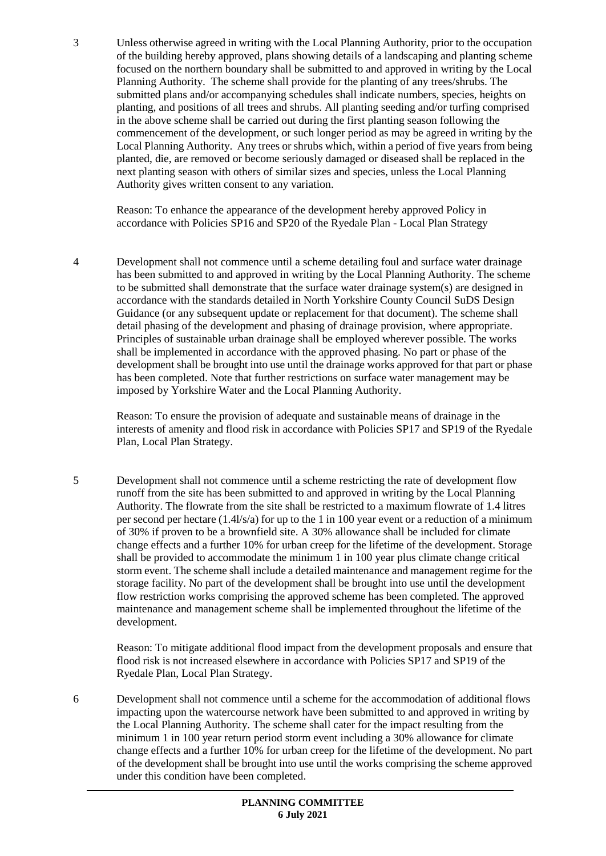3 Unless otherwise agreed in writing with the Local Planning Authority, prior to the occupation of the building hereby approved, plans showing details of a landscaping and planting scheme focused on the northern boundary shall be submitted to and approved in writing by the Local Planning Authority. The scheme shall provide for the planting of any trees/shrubs. The submitted plans and/or accompanying schedules shall indicate numbers, species, heights on planting, and positions of all trees and shrubs. All planting seeding and/or turfing comprised in the above scheme shall be carried out during the first planting season following the commencement of the development, or such longer period as may be agreed in writing by the Local Planning Authority. Any trees or shrubs which, within a period of five years from being planted, die, are removed or become seriously damaged or diseased shall be replaced in the next planting season with others of similar sizes and species, unless the Local Planning Authority gives written consent to any variation.

Reason: To enhance the appearance of the development hereby approved Policy in accordance with Policies SP16 and SP20 of the Ryedale Plan - Local Plan Strategy

4 Development shall not commence until a scheme detailing foul and surface water drainage has been submitted to and approved in writing by the Local Planning Authority. The scheme to be submitted shall demonstrate that the surface water drainage system(s) are designed in accordance with the standards detailed in North Yorkshire County Council SuDS Design Guidance (or any subsequent update or replacement for that document). The scheme shall detail phasing of the development and phasing of drainage provision, where appropriate. Principles of sustainable urban drainage shall be employed wherever possible. The works shall be implemented in accordance with the approved phasing. No part or phase of the development shall be brought into use until the drainage works approved for that part or phase has been completed. Note that further restrictions on surface water management may be imposed by Yorkshire Water and the Local Planning Authority.

Reason: To ensure the provision of adequate and sustainable means of drainage in the interests of amenity and flood risk in accordance with Policies SP17 and SP19 of the Ryedale Plan, Local Plan Strategy.

5 Development shall not commence until a scheme restricting the rate of development flow runoff from the site has been submitted to and approved in writing by the Local Planning Authority. The flowrate from the site shall be restricted to a maximum flowrate of 1.4 litres per second per hectare (1.4l/s/a) for up to the 1 in 100 year event or a reduction of a minimum of 30% if proven to be a brownfield site. A 30% allowance shall be included for climate change effects and a further 10% for urban creep for the lifetime of the development. Storage shall be provided to accommodate the minimum 1 in 100 year plus climate change critical storm event. The scheme shall include a detailed maintenance and management regime for the storage facility. No part of the development shall be brought into use until the development flow restriction works comprising the approved scheme has been completed. The approved maintenance and management scheme shall be implemented throughout the lifetime of the development.

Reason: To mitigate additional flood impact from the development proposals and ensure that flood risk is not increased elsewhere in accordance with Policies SP17 and SP19 of the Ryedale Plan, Local Plan Strategy.

6 Development shall not commence until a scheme for the accommodation of additional flows impacting upon the watercourse network have been submitted to and approved in writing by the Local Planning Authority. The scheme shall cater for the impact resulting from the minimum 1 in 100 year return period storm event including a 30% allowance for climate change effects and a further 10% for urban creep for the lifetime of the development. No part of the development shall be brought into use until the works comprising the scheme approved under this condition have been completed.

> **PLANNING COMMITTEE 6 July 2021**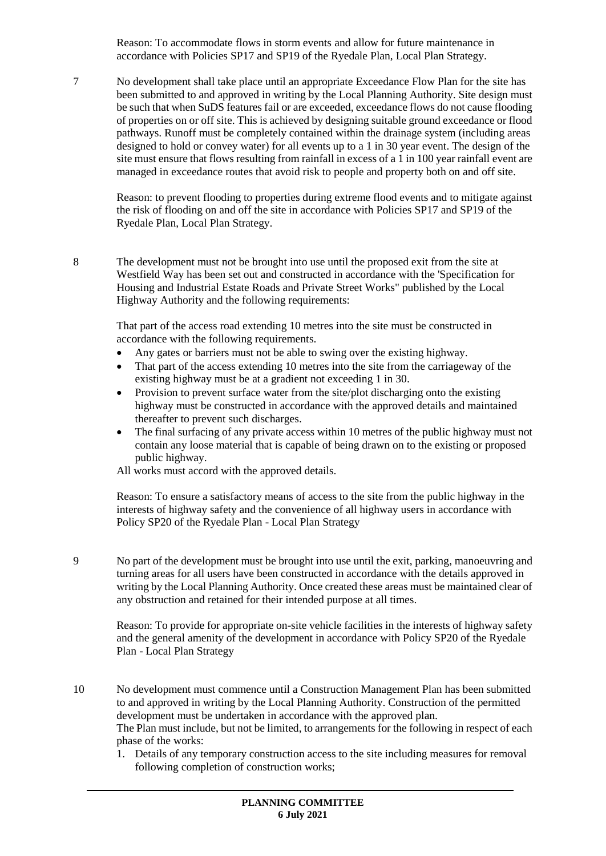Reason: To accommodate flows in storm events and allow for future maintenance in accordance with Policies SP17 and SP19 of the Ryedale Plan, Local Plan Strategy.

7 No development shall take place until an appropriate Exceedance Flow Plan for the site has been submitted to and approved in writing by the Local Planning Authority. Site design must be such that when SuDS features fail or are exceeded, exceedance flows do not cause flooding of properties on or off site. This is achieved by designing suitable ground exceedance or flood pathways. Runoff must be completely contained within the drainage system (including areas designed to hold or convey water) for all events up to a 1 in 30 year event. The design of the site must ensure that flows resulting from rainfall in excess of a 1 in 100 year rainfall event are managed in exceedance routes that avoid risk to people and property both on and off site.

Reason: to prevent flooding to properties during extreme flood events and to mitigate against the risk of flooding on and off the site in accordance with Policies SP17 and SP19 of the Ryedale Plan, Local Plan Strategy.

8 The development must not be brought into use until the proposed exit from the site at Westfield Way has been set out and constructed in accordance with the 'Specification for Housing and Industrial Estate Roads and Private Street Works" published by the Local Highway Authority and the following requirements:

That part of the access road extending 10 metres into the site must be constructed in accordance with the following requirements.

- Any gates or barriers must not be able to swing over the existing highway.
- That part of the access extending 10 metres into the site from the carriageway of the existing highway must be at a gradient not exceeding 1 in 30.
- Provision to prevent surface water from the site/plot discharging onto the existing highway must be constructed in accordance with the approved details and maintained thereafter to prevent such discharges.
- The final surfacing of any private access within 10 metres of the public highway must not contain any loose material that is capable of being drawn on to the existing or proposed public highway.

All works must accord with the approved details.

Reason: To ensure a satisfactory means of access to the site from the public highway in the interests of highway safety and the convenience of all highway users in accordance with Policy SP20 of the Ryedale Plan - Local Plan Strategy

9 No part of the development must be brought into use until the exit, parking, manoeuvring and turning areas for all users have been constructed in accordance with the details approved in writing by the Local Planning Authority. Once created these areas must be maintained clear of any obstruction and retained for their intended purpose at all times.

Reason: To provide for appropriate on-site vehicle facilities in the interests of highway safety and the general amenity of the development in accordance with Policy SP20 of the Ryedale Plan - Local Plan Strategy

- 10 No development must commence until a Construction Management Plan has been submitted to and approved in writing by the Local Planning Authority. Construction of the permitted development must be undertaken in accordance with the approved plan. The Plan must include, but not be limited, to arrangements for the following in respect of each phase of the works:
	- 1. Details of any temporary construction access to the site including measures for removal following completion of construction works;

**PLANNING COMMITTEE**